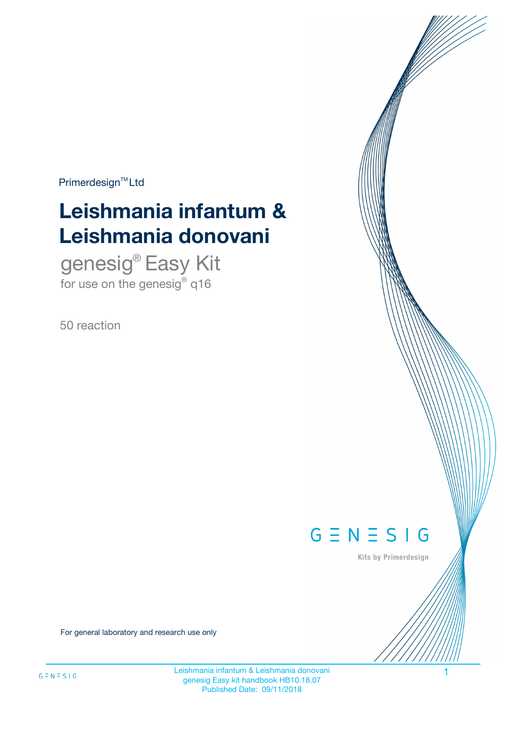$Primerdesign^{\text{TM}}Ltd$ 

# **Leishmania infantum & Leishmania donovani**

genesig® Easy Kit for use on the genesig $^{\circ}$  q16

50 reaction



Kits by Primerdesign

For general laboratory and research use only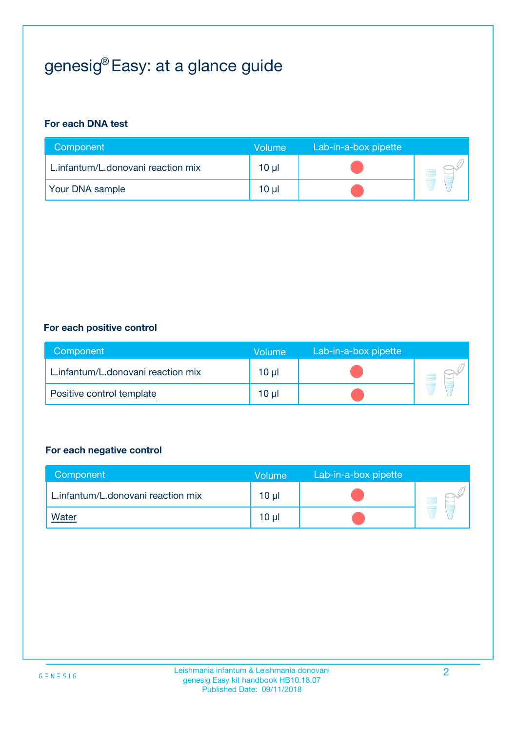## genesig® Easy: at a glance guide

#### **For each DNA test**

| Component                          | <b>Volume</b> | Lab-in-a-box pipette |  |
|------------------------------------|---------------|----------------------|--|
| L.infantum/L.donovani reaction mix | $10 \mu$      |                      |  |
| <b>Your DNA sample</b>             | 10 µl         |                      |  |

#### **For each positive control**

| Component                          | Volume          | Lab-in-a-box pipette |  |
|------------------------------------|-----------------|----------------------|--|
| L.infantum/L.donovani reaction mix | 10 µl           |                      |  |
| Positive control template          | 10 <sub>µ</sub> |                      |  |

#### **For each negative control**

| Component                          | Volume          | Lab-in-a-box pipette |  |
|------------------------------------|-----------------|----------------------|--|
| L.infantum/L.donovani reaction mix | $10 \mu$        |                      |  |
| <u>Water</u>                       | 10 <sub>µ</sub> |                      |  |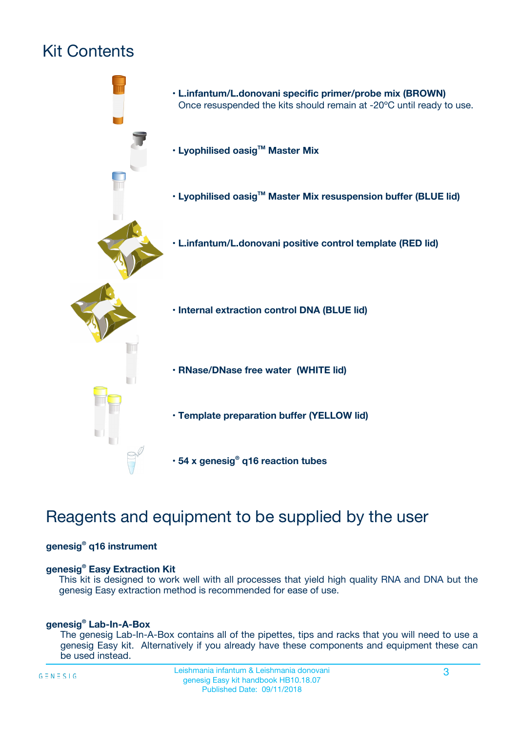## Kit Contents



## Reagents and equipment to be supplied by the user

#### **genesig® q16 instrument**

#### **genesig® Easy Extraction Kit**

This kit is designed to work well with all processes that yield high quality RNA and DNA but the genesig Easy extraction method is recommended for ease of use.

#### **genesig® Lab-In-A-Box**

The genesig Lab-In-A-Box contains all of the pipettes, tips and racks that you will need to use a genesig Easy kit. Alternatively if you already have these components and equipment these can be used instead.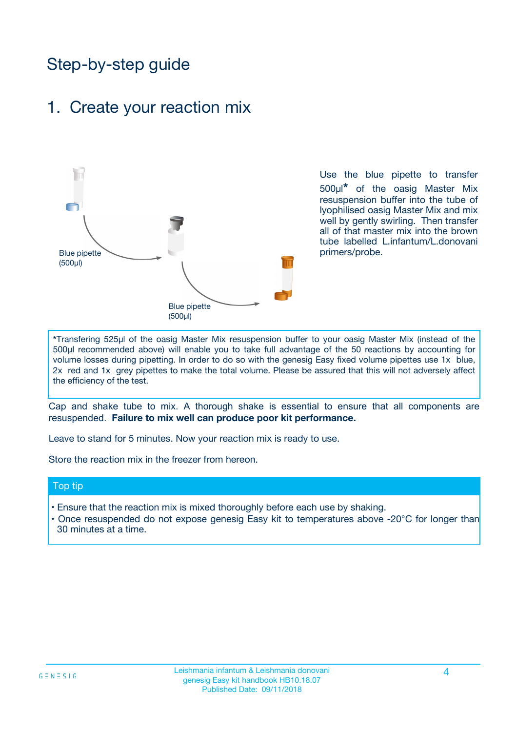## Step-by-step guide

### 1. Create your reaction mix



Use the blue pipette to transfer 500µl**\*** of the oasig Master Mix resuspension buffer into the tube of lyophilised oasig Master Mix and mix well by gently swirling. Then transfer all of that master mix into the brown tube labelled L.infantum/L.donovani primers/probe.

**\***Transfering 525µl of the oasig Master Mix resuspension buffer to your oasig Master Mix (instead of the 500µl recommended above) will enable you to take full advantage of the 50 reactions by accounting for volume losses during pipetting. In order to do so with the genesig Easy fixed volume pipettes use 1x blue, 2x red and 1x grey pipettes to make the total volume. Please be assured that this will not adversely affect the efficiency of the test.

Cap and shake tube to mix. A thorough shake is essential to ensure that all components are resuspended. **Failure to mix well can produce poor kit performance.**

Leave to stand for 5 minutes. Now your reaction mix is ready to use.

Store the reaction mix in the freezer from hereon.

#### Top tip

- Ensure that the reaction mix is mixed thoroughly before each use by shaking.
- **•** Once resuspended do not expose genesig Easy kit to temperatures above -20°C for longer than 30 minutes at a time.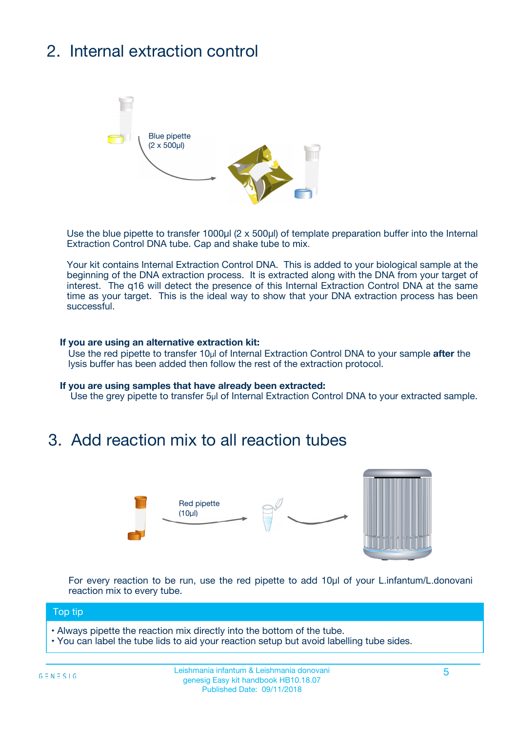## 2. Internal extraction control



Use the blue pipette to transfer 1000µl (2 x 500µl) of template preparation buffer into the Internal Extraction Control DNA tube. Cap and shake tube to mix.

Your kit contains Internal Extraction Control DNA. This is added to your biological sample at the beginning of the DNA extraction process. It is extracted along with the DNA from your target of interest. The q16 will detect the presence of this Internal Extraction Control DNA at the same time as your target. This is the ideal way to show that your DNA extraction process has been successful.

#### **If you are using an alternative extraction kit:**

Use the red pipette to transfer 10µl of Internal Extraction Control DNA to your sample **after** the lysis buffer has been added then follow the rest of the extraction protocol.

#### **If you are using samples that have already been extracted:**

Use the grey pipette to transfer 5µl of Internal Extraction Control DNA to your extracted sample.

### 3. Add reaction mix to all reaction tubes



For every reaction to be run, use the red pipette to add 10µl of your L.infantum/L.donovani reaction mix to every tube.

#### Top tip

**•** Always pipette the reaction mix directly into the bottom of the tube.

• You can label the tube lids to aid your reaction setup but avoid labelling tube sides.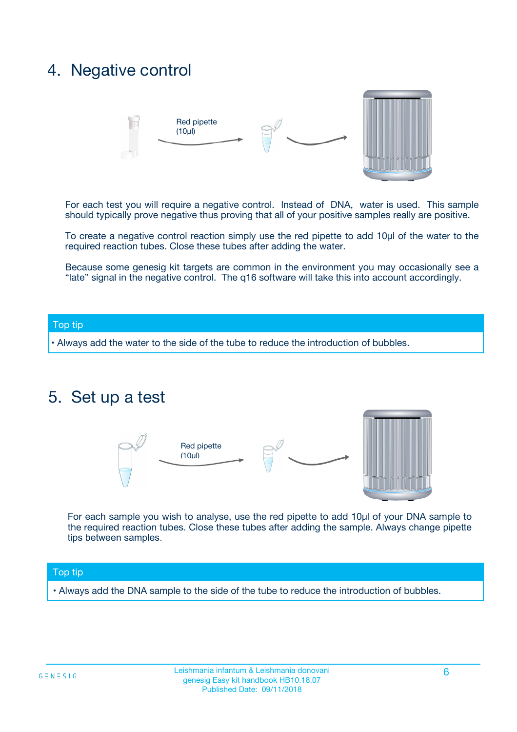### 4. Negative control



For each test you will require a negative control. Instead of DNA, water is used. This sample should typically prove negative thus proving that all of your positive samples really are positive.

To create a negative control reaction simply use the red pipette to add 10µl of the water to the required reaction tubes. Close these tubes after adding the water.

Because some genesig kit targets are common in the environment you may occasionally see a "late" signal in the negative control. The q16 software will take this into account accordingly.

#### Top tip

**•** Always add the water to the side of the tube to reduce the introduction of bubbles.

### 5. Set up a test



For each sample you wish to analyse, use the red pipette to add 10µl of your DNA sample to the required reaction tubes. Close these tubes after adding the sample. Always change pipette tips between samples.

#### Top tip

**•** Always add the DNA sample to the side of the tube to reduce the introduction of bubbles.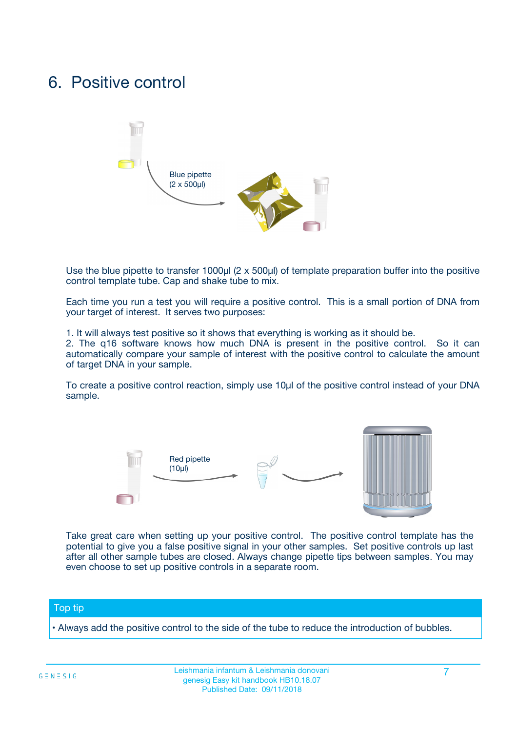### 6. Positive control



Use the blue pipette to transfer 1000µl (2 x 500µl) of template preparation buffer into the positive control template tube. Cap and shake tube to mix.

Each time you run a test you will require a positive control. This is a small portion of DNA from your target of interest. It serves two purposes:

1. It will always test positive so it shows that everything is working as it should be.

2. The q16 software knows how much DNA is present in the positive control. So it can automatically compare your sample of interest with the positive control to calculate the amount of target DNA in your sample.

To create a positive control reaction, simply use 10µl of the positive control instead of your DNA sample.



Take great care when setting up your positive control. The positive control template has the potential to give you a false positive signal in your other samples. Set positive controls up last after all other sample tubes are closed. Always change pipette tips between samples. You may even choose to set up positive controls in a separate room.

#### Top tip

**•** Always add the positive control to the side of the tube to reduce the introduction of bubbles.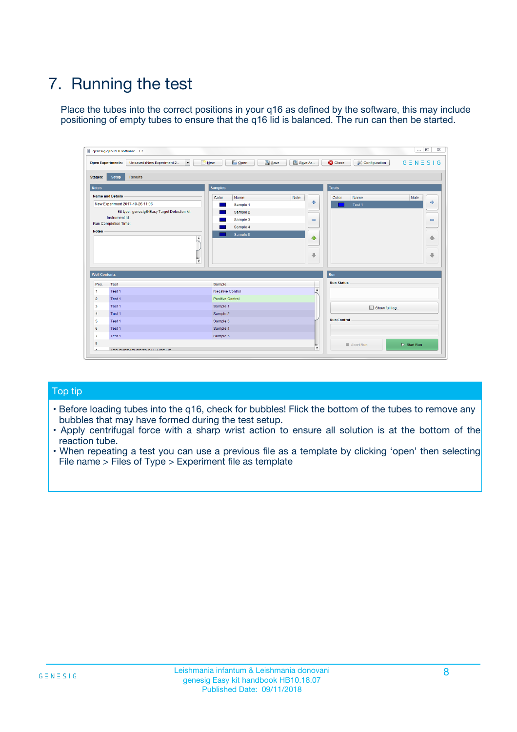## 7. Running the test

Place the tubes into the correct positions in your q16 as defined by the software, this may include positioning of empty tubes to ensure that the q16 lid is balanced. The run can then be started.

| qenesig q16 PCR software - 1.2                                               |                                   | $\Box$                                                                                          |
|------------------------------------------------------------------------------|-----------------------------------|-------------------------------------------------------------------------------------------------|
| $\vert \cdot \vert$<br>Unsaved (New Experiment 2<br><b>Open Experiments:</b> | <b>D</b> Open<br>R <sub>New</sub> | Save<br>Save As<br><b>C</b> Close<br><b>&amp; Configuration</b><br>$G \equiv N \equiv S \mid G$ |
| <b>Setup</b><br><b>Results</b><br>Stages:                                    |                                   |                                                                                                 |
| <b>Notes</b>                                                                 | <b>Samples</b>                    | <b>Tests</b>                                                                                    |
| <b>Name and Details</b>                                                      | Name<br>Color                     | Note<br>Color<br>Note<br>Name                                                                   |
| New Experiment 2017-10-26 11:06                                              | Sample 1                          | ÷<br>条<br>Test 1                                                                                |
| Kit type: genesig® Easy Target Detection kit                                 | Sample 2                          |                                                                                                 |
| Instrument Id.:                                                              | Sample 3                          | $\qquad \qquad \blacksquare$<br>$\qquad \qquad \blacksquare$                                    |
| <b>Run Completion Time:</b>                                                  | Sample 4                          |                                                                                                 |
| <b>Notes</b><br><b>A</b><br>$\overline{\mathbf v}$                           | Sample 5                          | ♦<br>4<br>÷<br>₩                                                                                |
| <b>Well Contents</b>                                                         |                                   | <b>Run</b>                                                                                      |
| Pos.<br>Test                                                                 | Sample                            | <b>Run Status</b>                                                                               |
| Test 1<br>$\blacktriangleleft$                                               | Negative Control                  | $\blacktriangle$                                                                                |
| $\overline{2}$<br>Test 1                                                     | <b>Positive Control</b>           |                                                                                                 |
| $\overline{\mathbf{3}}$<br>Test 1                                            | Sample 1                          | Show full log                                                                                   |
| Test 1<br>4                                                                  | Sample 2                          |                                                                                                 |
| 5<br>Test 1                                                                  | Sample 3                          | <b>Run Control</b>                                                                              |
| Test 1<br>6                                                                  | Sample 4                          |                                                                                                 |
| $\overline{7}$<br>Test 1                                                     | Sample 5                          |                                                                                                 |
| 8                                                                            |                                   | $\triangleright$ Start Run<br>Abort Run                                                         |
| <b>JOD FURTY TUDE TO BUILDED IN</b>                                          |                                   | $\overline{\mathbf{v}}$                                                                         |

#### Top tip

- Before loading tubes into the q16, check for bubbles! Flick the bottom of the tubes to remove any bubbles that may have formed during the test setup.
- Apply centrifugal force with a sharp wrist action to ensure all solution is at the bottom of the reaction tube.
- When repeating a test you can use a previous file as a template by clicking 'open' then selecting File name > Files of Type > Experiment file as template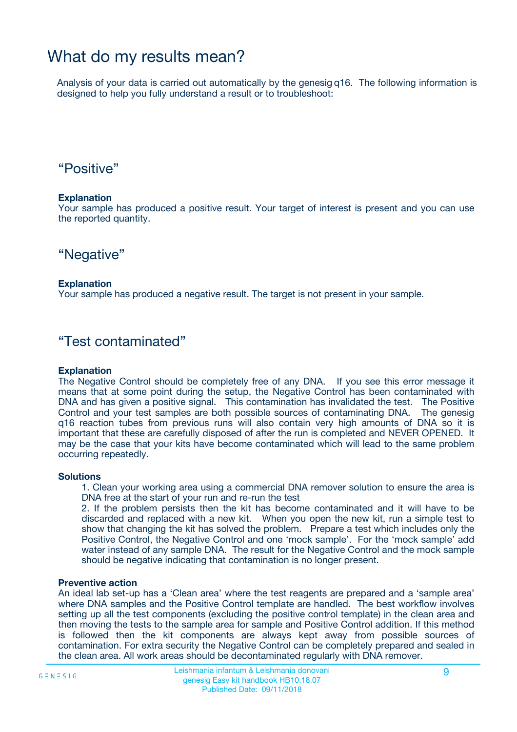### What do my results mean?

Analysis of your data is carried out automatically by the genesig q16. The following information is designed to help you fully understand a result or to troubleshoot:

### "Positive"

#### **Explanation**

Your sample has produced a positive result. Your target of interest is present and you can use the reported quantity.

"Negative"

#### **Explanation**

Your sample has produced a negative result. The target is not present in your sample.

### "Test contaminated"

#### **Explanation**

The Negative Control should be completely free of any DNA. If you see this error message it means that at some point during the setup, the Negative Control has been contaminated with DNA and has given a positive signal. This contamination has invalidated the test. The Positive Control and your test samples are both possible sources of contaminating DNA. The genesig q16 reaction tubes from previous runs will also contain very high amounts of DNA so it is important that these are carefully disposed of after the run is completed and NEVER OPENED. It may be the case that your kits have become contaminated which will lead to the same problem occurring repeatedly.

#### **Solutions**

1. Clean your working area using a commercial DNA remover solution to ensure the area is DNA free at the start of your run and re-run the test

2. If the problem persists then the kit has become contaminated and it will have to be discarded and replaced with a new kit. When you open the new kit, run a simple test to show that changing the kit has solved the problem. Prepare a test which includes only the Positive Control, the Negative Control and one 'mock sample'. For the 'mock sample' add water instead of any sample DNA. The result for the Negative Control and the mock sample should be negative indicating that contamination is no longer present.

#### **Preventive action**

An ideal lab set-up has a 'Clean area' where the test reagents are prepared and a 'sample area' where DNA samples and the Positive Control template are handled. The best workflow involves setting up all the test components (excluding the positive control template) in the clean area and then moving the tests to the sample area for sample and Positive Control addition. If this method is followed then the kit components are always kept away from possible sources of contamination. For extra security the Negative Control can be completely prepared and sealed in the clean area. All work areas should be decontaminated regularly with DNA remover.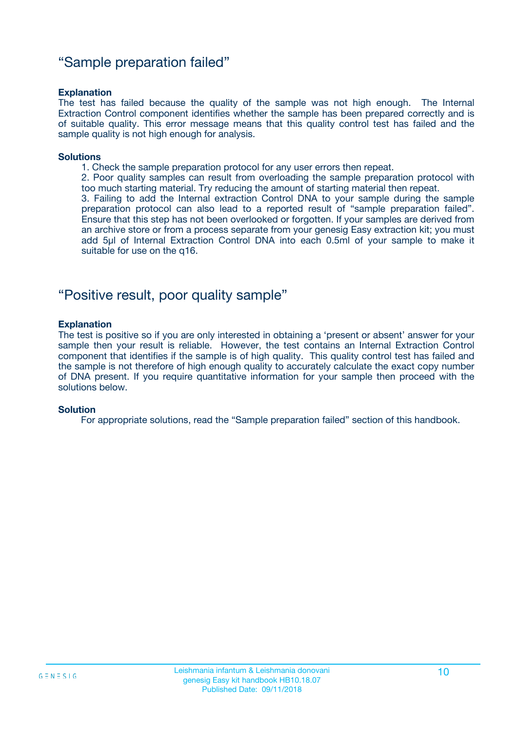### "Sample preparation failed"

#### **Explanation**

The test has failed because the quality of the sample was not high enough. The Internal Extraction Control component identifies whether the sample has been prepared correctly and is of suitable quality. This error message means that this quality control test has failed and the sample quality is not high enough for analysis.

#### **Solutions**

1. Check the sample preparation protocol for any user errors then repeat.

2. Poor quality samples can result from overloading the sample preparation protocol with too much starting material. Try reducing the amount of starting material then repeat.

3. Failing to add the Internal extraction Control DNA to your sample during the sample preparation protocol can also lead to a reported result of "sample preparation failed". Ensure that this step has not been overlooked or forgotten. If your samples are derived from an archive store or from a process separate from your genesig Easy extraction kit; you must add 5µl of Internal Extraction Control DNA into each 0.5ml of your sample to make it suitable for use on the q16.

### "Positive result, poor quality sample"

#### **Explanation**

The test is positive so if you are only interested in obtaining a 'present or absent' answer for your sample then your result is reliable. However, the test contains an Internal Extraction Control component that identifies if the sample is of high quality. This quality control test has failed and the sample is not therefore of high enough quality to accurately calculate the exact copy number of DNA present. If you require quantitative information for your sample then proceed with the solutions below.

#### **Solution**

For appropriate solutions, read the "Sample preparation failed" section of this handbook.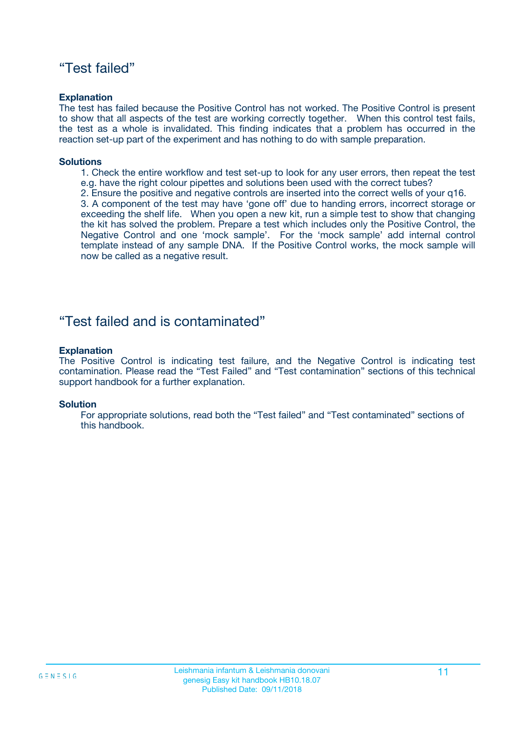### "Test failed"

#### **Explanation**

The test has failed because the Positive Control has not worked. The Positive Control is present to show that all aspects of the test are working correctly together. When this control test fails, the test as a whole is invalidated. This finding indicates that a problem has occurred in the reaction set-up part of the experiment and has nothing to do with sample preparation.

#### **Solutions**

- 1. Check the entire workflow and test set-up to look for any user errors, then repeat the test e.g. have the right colour pipettes and solutions been used with the correct tubes?
- 2. Ensure the positive and negative controls are inserted into the correct wells of your q16.

3. A component of the test may have 'gone off' due to handing errors, incorrect storage or exceeding the shelf life. When you open a new kit, run a simple test to show that changing the kit has solved the problem. Prepare a test which includes only the Positive Control, the Negative Control and one 'mock sample'. For the 'mock sample' add internal control template instead of any sample DNA. If the Positive Control works, the mock sample will now be called as a negative result.

### "Test failed and is contaminated"

#### **Explanation**

The Positive Control is indicating test failure, and the Negative Control is indicating test contamination. Please read the "Test Failed" and "Test contamination" sections of this technical support handbook for a further explanation.

#### **Solution**

For appropriate solutions, read both the "Test failed" and "Test contaminated" sections of this handbook.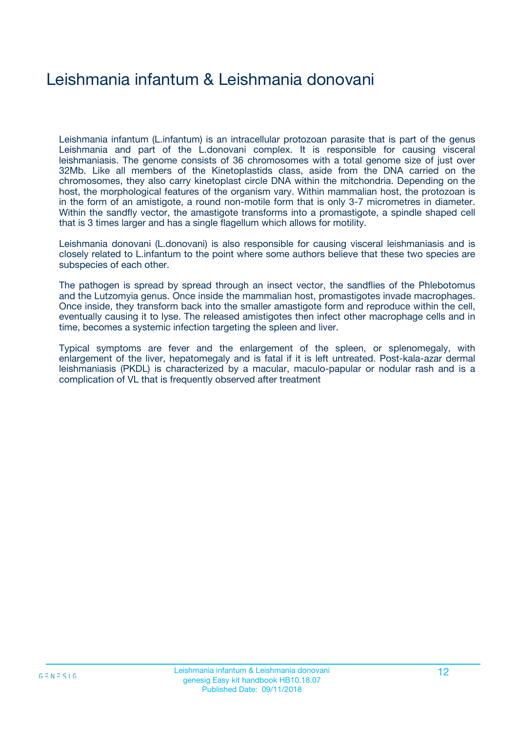## Leishmania infantum & Leishmania donovani

Leishmania infantum (L.infantum) is an intracellular protozoan parasite that is part of the genus Leishmania and part of the L.donovani complex. It is responsible for causing visceral leishmaniasis. The genome consists of 36 chromosomes with a total genome size of just over 32Mb. Like all members of the Kinetoplastids class, aside from the DNA carried on the chromosomes, they also carry kinetoplast circle DNA within the mitchondria. Depending on the host, the morphological features of the organism vary. Within mammalian host, the protozoan is in the form of an amistigote, a round non-motile form that is only 3-7 micrometres in diameter. Within the sandfly vector, the amastigote transforms into a promastigote, a spindle shaped cell that is 3 times larger and has a single flagellum which allows for motility.

Leishmania donovani (L.donovani) is also responsible for causing visceral leishmaniasis and is closely related to L.infantum to the point where some authors believe that these two species are subspecies of each other.

The pathogen is spread by spread through an insect vector, the sandflies of the Phlebotomus and the Lutzomyia genus. Once inside the mammalian host, promastigotes invade macrophages. Once inside, they transform back into the smaller amastigote form and reproduce within the cell, eventually causing it to lyse. The released amistigotes then infect other macrophage cells and in time, becomes a systemic infection targeting the spleen and liver.

Typical symptoms are fever and the enlargement of the spleen, or splenomegaly, with enlargement of the liver, hepatomegaly and is fatal if it is left untreated. Post-kala-azar dermal leishmaniasis (PKDL) is characterized by a macular, maculo-papular or nodular rash and is a complication of VL that is frequently observed after treatment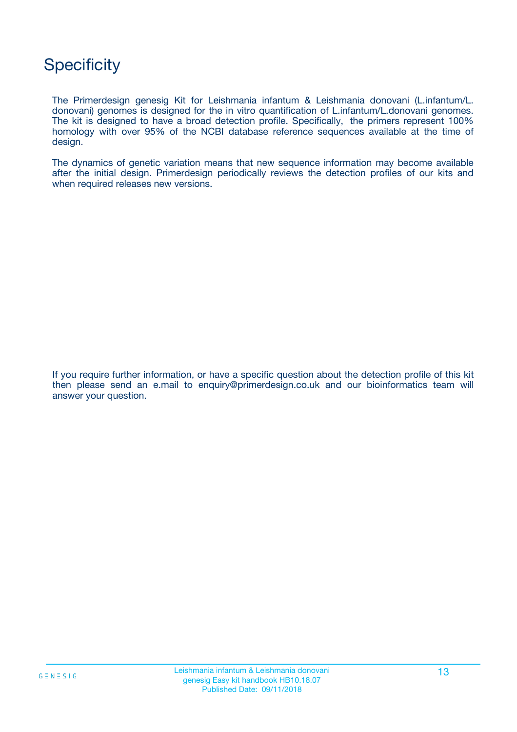### **Specificity**

The Primerdesign genesig Kit for Leishmania infantum & Leishmania donovani (L.infantum/L. donovani) genomes is designed for the in vitro quantification of L.infantum/L.donovani genomes. The kit is designed to have a broad detection profile. Specifically, the primers represent 100% homology with over 95% of the NCBI database reference sequences available at the time of design.

The dynamics of genetic variation means that new sequence information may become available after the initial design. Primerdesign periodically reviews the detection profiles of our kits and when required releases new versions.

If you require further information, or have a specific question about the detection profile of this kit then please send an e.mail to enquiry@primerdesign.co.uk and our bioinformatics team will answer your question.